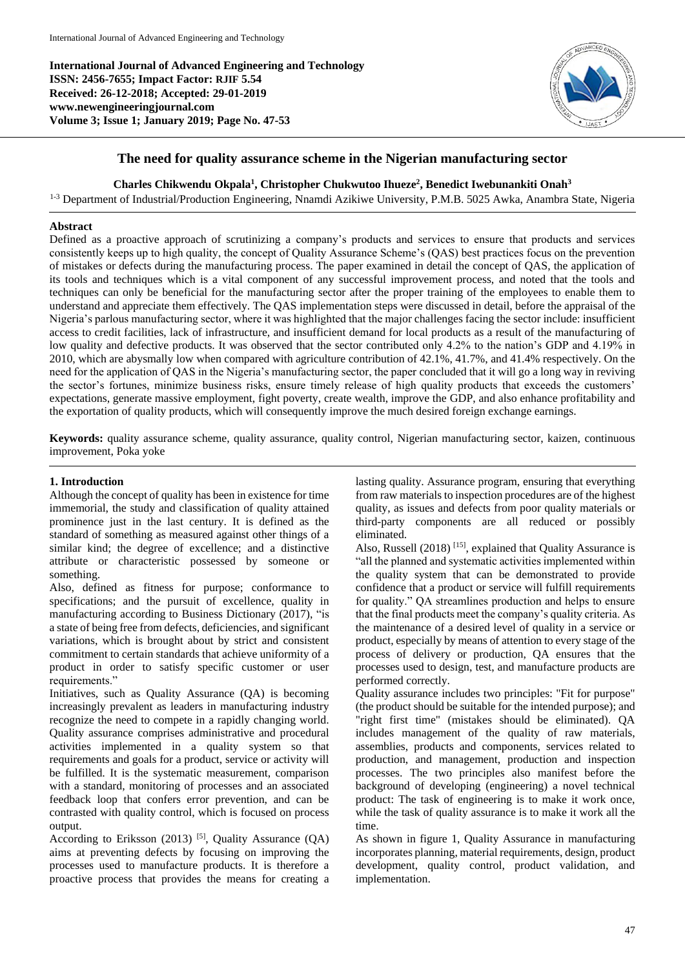**International Journal of Advanced Engineering and Technology ISSN: 2456-7655; Impact Factor: RJIF 5.54 Received: 26-12-2018; Accepted: 29-01-2019 www.newengineeringjournal.com Volume 3; Issue 1; January 2019; Page No. 47-53**



# **The need for quality assurance scheme in the Nigerian manufacturing sector**

**Charles Chikwendu Okpala<sup>1</sup> , Christopher Chukwutoo Ihueze<sup>2</sup> , Benedict Iwebunankiti Onah<sup>3</sup>**

<sup>1-3</sup> Department of Industrial/Production Engineering, Nnamdi Azikiwe University, P.M.B. 5025 Awka, Anambra State, Nigeria

#### **Abstract**

Defined as a proactive approach of scrutinizing a company's products and services to ensure that products and services consistently keeps up to high quality, the concept of Quality Assurance Scheme's (QAS) best practices focus on the prevention of mistakes or defects during the manufacturing process. The paper examined in detail the concept of QAS, the application of its tools and techniques which is a vital component of any successful improvement process, and noted that the tools and techniques can only be beneficial for the manufacturing sector after the proper training of the employees to enable them to understand and appreciate them effectively. The QAS implementation steps were discussed in detail, before the appraisal of the Nigeria's parlous manufacturing sector, where it was highlighted that the major challenges facing the sector include: insufficient access to credit facilities, lack of infrastructure, and insufficient demand for local products as a result of the manufacturing of low quality and defective products. It was observed that the sector contributed only 4.2% to the nation's GDP and 4.19% in 2010, which are abysmally low when compared with agriculture contribution of 42.1%, 41.7%, and 41.4% respectively. On the need for the application of QAS in the Nigeria's manufacturing sector, the paper concluded that it will go a long way in reviving the sector's fortunes, minimize business risks, ensure timely release of high quality products that exceeds the customers' expectations, generate massive employment, fight poverty, create wealth, improve the GDP, and also enhance profitability and the exportation of quality products, which will consequently improve the much desired foreign exchange earnings.

**Keywords:** quality assurance scheme, quality assurance, quality control, Nigerian manufacturing sector, kaizen, continuous improvement, Poka yoke

#### **1. Introduction**

Although the concept of quality has been in existence for time immemorial, the study and classification of quality attained prominence just in the last century. It is defined as the standard of something as measured against other things of a similar kind; the degree of excellence; and a distinctive attribute or characteristic possessed by someone or something.

Also, defined as fitness for purpose; conformance to specifications; and the pursuit of excellence, quality in manufacturing according to Business Dictionary (2017), "is a state of being free from defects, deficiencies, and significant variations, which is brought about by strict and consistent commitment to certain standards that achieve uniformity of a product in order to satisfy specific customer or user requirements."

Initiatives, such as Quality Assurance (QA) is becoming increasingly prevalent as leaders in manufacturing industry recognize the need to compete in a rapidly changing world. Quality assurance comprises administrative and procedural activities implemented in a quality system so that requirements and goals for a product, service or activity will be fulfilled. It is the systematic measurement, comparison with a standard, monitoring of processes and an associated feedback loop that confers error prevention, and can be contrasted with quality control, which is focused on process output.

According to Eriksson (2013) <sup>[5]</sup>, Quality Assurance (OA) aims at preventing defects by focusing on improving the processes used to manufacture products. It is therefore a proactive process that provides the means for creating a

lasting quality. Assurance program, ensuring that everything from raw materials to inspection procedures are of the highest quality, as issues and defects from poor quality materials or third-party components are all reduced or possibly eliminated.

Also, Russell  $(2018)$ <sup>[15]</sup>, explained that Quality Assurance is "all the planned and systematic activities implemented within the quality system that can be demonstrated to provide confidence that a product or service will fulfill requirements for quality." QA streamlines production and helps to ensure that the final products meet the company's quality criteria. As the maintenance of a desired level of quality in a service or product, especially by means of attention to every stage of the process of delivery or production, QA ensures that the processes used to design, test, and manufacture products are performed correctly.

Quality assurance includes two principles: "Fit for purpose" (the product should be suitable for the intended purpose); and "right first time" (mistakes should be eliminated). QA includes management of the quality of raw materials, assemblies, products and components, services related to production, and management, production and inspection processes. The two principles also manifest before the background of developing (engineering) a novel technical product: The task of engineering is to make it work once, while the task of quality assurance is to make it work all the time.

As shown in figure 1, Quality Assurance in manufacturing incorporates planning, material requirements, design, product development, quality control, product validation, and implementation.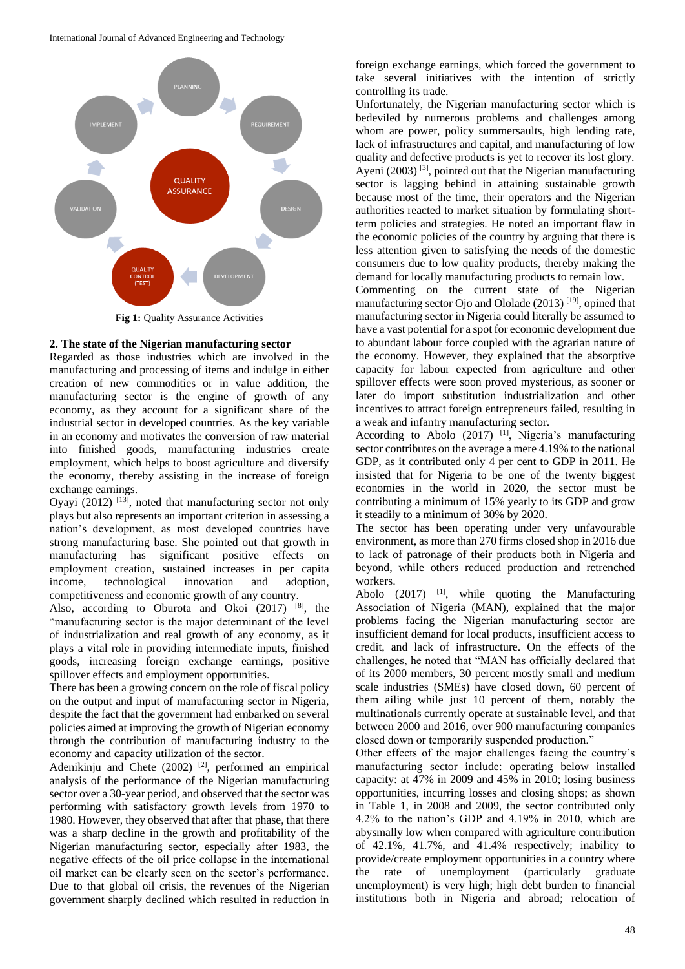International Journal of Advanced Engineering and Technology



**Fig 1:** Quality Assurance Activities

# **2. The state of the Nigerian manufacturing sector**

Regarded as those industries which are involved in the manufacturing and processing of items and indulge in either creation of new commodities or in value addition, the manufacturing sector is the engine of growth of any economy, as they account for a significant share of the industrial sector in developed countries. As the key variable in an economy and motivates the conversion of raw material into finished goods, manufacturing industries create employment, which helps to boost agriculture and diversify the economy, thereby assisting in the increase of foreign exchange earnings.

Oyayi  $(2012)$  <sup>[13]</sup>, noted that manufacturing sector not only plays but also represents an important criterion in assessing a nation's development, as most developed countries have strong manufacturing base. She pointed out that growth in manufacturing has significant positive effects on employment creation, sustained increases in per capita income, technological innovation and adoption, competitiveness and economic growth of any country.

Also, according to Oburota and Okoi (2017) [8], the "manufacturing sector is the major determinant of the level of industrialization and real growth of any economy, as it plays a vital role in providing intermediate inputs, finished goods, increasing foreign exchange earnings, positive spillover effects and employment opportunities.

There has been a growing concern on the role of fiscal policy on the output and input of manufacturing sector in Nigeria, despite the fact that the government had embarked on several policies aimed at improving the growth of Nigerian economy through the contribution of manufacturing industry to the economy and capacity utilization of the sector.

Adenikinju and Chete (2002) <sup>[2]</sup>, performed an empirical analysis of the performance of the Nigerian manufacturing sector over a 30-year period, and observed that the sector was performing with satisfactory growth levels from 1970 to 1980. However, they observed that after that phase, that there was a sharp decline in the growth and profitability of the Nigerian manufacturing sector, especially after 1983, the negative effects of the oil price collapse in the international oil market can be clearly seen on the sector's performance. Due to that global oil crisis, the revenues of the Nigerian government sharply declined which resulted in reduction in

foreign exchange earnings, which forced the government to take several initiatives with the intention of strictly controlling its trade.

Unfortunately, the Nigerian manufacturing sector which is bedeviled by numerous problems and challenges among whom are power, policy summersaults, high lending rate, lack of infrastructures and capital, and manufacturing of low quality and defective products is yet to recover its lost glory. Ayeni  $(2003)$  [3], pointed out that the Nigerian manufacturing sector is lagging behind in attaining sustainable growth because most of the time, their operators and the Nigerian authorities reacted to market situation by formulating shortterm policies and strategies. He noted an important flaw in the economic policies of the country by arguing that there is less attention given to satisfying the needs of the domestic consumers due to low quality products, thereby making the demand for locally manufacturing products to remain low.

Commenting on the current state of the Nigerian manufacturing sector Ojo and Ololade (2013)<sup>[19]</sup>, opined that manufacturing sector in Nigeria could literally be assumed to have a vast potential for a spot for economic development due to abundant labour force coupled with the agrarian nature of the economy. However, they explained that the absorptive capacity for labour expected from agriculture and other spillover effects were soon proved mysterious, as sooner or later do import substitution industrialization and other incentives to attract foreign entrepreneurs failed, resulting in a weak and infantry manufacturing sector.

According to Abolo  $(2017)$  <sup>[1]</sup>, Nigeria's manufacturing sector contributes on the average a mere 4.19% to the national GDP, as it contributed only 4 per cent to GDP in 2011. He insisted that for Nigeria to be one of the twenty biggest economies in the world in 2020, the sector must be contributing a minimum of 15% yearly to its GDP and grow it steadily to a minimum of 30% by 2020.

The sector has been operating under very unfavourable environment, as more than 270 firms closed shop in 2016 due to lack of patronage of their products both in Nigeria and beyond, while others reduced production and retrenched workers.

Abolo  $(2017)$  <sup>[1]</sup>, while quoting the Manufacturing Association of Nigeria (MAN), explained that the major problems facing the Nigerian manufacturing sector are insufficient demand for local products, insufficient access to credit, and lack of infrastructure. On the effects of the challenges, he noted that "MAN has officially declared that of its 2000 members, 30 percent mostly small and medium scale industries (SMEs) have closed down, 60 percent of them ailing while just 10 percent of them, notably the multinationals currently operate at sustainable level, and that between 2000 and 2016, over 900 manufacturing companies closed down or temporarily suspended production."

Other effects of the major challenges facing the country's manufacturing sector include: operating below installed capacity: at 47% in 2009 and 45% in 2010; losing business opportunities, incurring losses and closing shops; as shown in Table 1, in 2008 and 2009, the sector contributed only 4.2% to the nation's GDP and 4.19% in 2010, which are abysmally low when compared with agriculture contribution of 42.1%, 41.7%, and 41.4% respectively; inability to provide/create employment opportunities in a country where the rate of unemployment (particularly graduate unemployment) is very high; high debt burden to financial institutions both in Nigeria and abroad; relocation of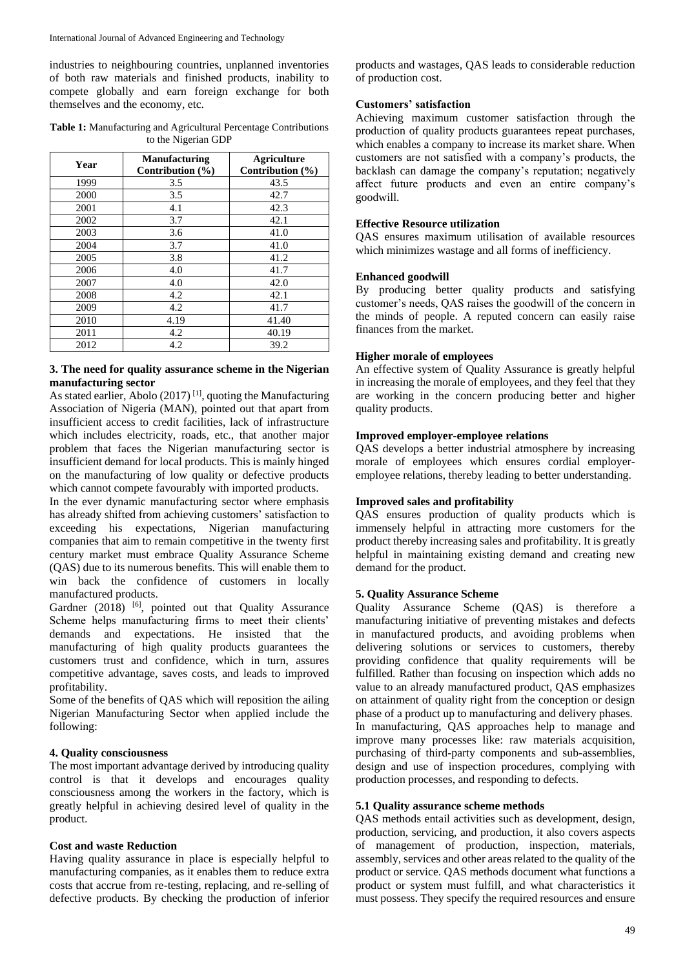industries to neighbouring countries, unplanned inventories of both raw materials and finished products, inability to compete globally and earn foreign exchange for both themselves and the economy, etc.

**Table 1:** Manufacturing and Agricultural Percentage Contributions to the Nigerian GDP

| Year | <b>Manufacturing</b><br>Contribution $(\% )$ | <b>Agriculture</b><br>Contribution (%) |
|------|----------------------------------------------|----------------------------------------|
| 1999 | 3.5                                          | 43.5                                   |
| 2000 | 3.5                                          | 42.7                                   |
| 2001 | 4.1                                          | 42.3                                   |
| 2002 | 3.7                                          | 42.1                                   |
| 2003 | 3.6                                          | 41.0                                   |
| 2004 | 3.7                                          | 41.0                                   |
| 2005 | 3.8                                          | 41.2                                   |
| 2006 | 4.0                                          | 41.7                                   |
| 2007 | 4.0                                          | 42.0                                   |
| 2008 | 4.2                                          | 42.1                                   |
| 2009 | 4.2                                          | 41.7                                   |
| 2010 | 4.19                                         | 41.40                                  |
| 2011 | 4.2                                          | 40.19                                  |
| 2012 | 4.2                                          | 39.2                                   |

### **3. The need for quality assurance scheme in the Nigerian manufacturing sector**

As stated earlier, Abolo  $(2017)^{[1]}$ , quoting the Manufacturing Association of Nigeria (MAN), pointed out that apart from insufficient access to credit facilities, lack of infrastructure which includes electricity, roads, etc., that another major problem that faces the Nigerian manufacturing sector is insufficient demand for local products. This is mainly hinged on the manufacturing of low quality or defective products which cannot compete favourably with imported products.

In the ever dynamic manufacturing sector where emphasis has already shifted from achieving customers' satisfaction to exceeding his expectations, Nigerian manufacturing companies that aim to remain competitive in the twenty first century market must embrace Quality Assurance Scheme (QAS) due to its numerous benefits. This will enable them to win back the confidence of customers in locally manufactured products.

Gardner  $(2018)$  <sup>[6]</sup>, pointed out that Quality Assurance Scheme helps manufacturing firms to meet their clients' demands and expectations. He insisted that the manufacturing of high quality products guarantees the customers trust and confidence, which in turn, assures competitive advantage, saves costs, and leads to improved profitability.

Some of the benefits of QAS which will reposition the ailing Nigerian Manufacturing Sector when applied include the following:

# **4. Quality consciousness**

The most important advantage derived by introducing quality control is that it develops and encourages quality consciousness among the workers in the factory, which is greatly helpful in achieving desired level of quality in the product.

### **Cost and waste Reduction**

Having quality assurance in place is especially helpful to manufacturing companies, as it enables them to reduce extra costs that accrue from re-testing, replacing, and re-selling of defective products. By checking the production of inferior products and wastages, QAS leads to considerable reduction of production cost.

### **Customers' satisfaction**

Achieving maximum customer satisfaction through the production of quality products guarantees repeat purchases, which enables a company to increase its market share. When customers are not satisfied with a company's products, the backlash can damage the company's reputation; negatively affect future products and even an entire company's goodwill.

# **Effective Resource utilization**

QAS ensures maximum utilisation of available resources which minimizes wastage and all forms of inefficiency.

### **Enhanced goodwill**

By producing better quality products and satisfying customer's needs, QAS raises the goodwill of the concern in the minds of people. A reputed concern can easily raise finances from the market.

### **Higher morale of employees**

An effective system of Quality Assurance is greatly helpful in increasing the morale of employees, and they feel that they are working in the concern producing better and higher quality products.

### **Improved employer-employee relations**

QAS develops a better industrial atmosphere by increasing morale of employees which ensures cordial employeremployee relations, thereby leading to better understanding.

### **Improved sales and profitability**

QAS ensures production of quality products which is immensely helpful in attracting more customers for the product thereby increasing sales and profitability. It is greatly helpful in maintaining existing demand and creating new demand for the product.

### **5. Quality Assurance Scheme**

Quality Assurance Scheme (QAS) is therefore a manufacturing initiative of preventing mistakes and defects in manufactured products, and avoiding problems when delivering solutions or services to customers, thereby providing confidence that quality requirements will be fulfilled. Rather than focusing on inspection which adds no value to an already manufactured product, QAS emphasizes on attainment of quality right from the conception or design phase of a product up to manufacturing and delivery phases. In manufacturing, QAS approaches help to manage and improve many processes like: raw materials acquisition, purchasing of third-party components and sub-assemblies, design and use of inspection procedures, complying with production processes, and responding to defects.

### **5.1 Quality assurance scheme methods**

QAS methods entail activities such as development, design, production, servicing, and production, it also covers aspects of management of production, inspection, materials, assembly, services and other areas related to the quality of the product or service. QAS methods document what functions a product or system must fulfill, and what characteristics it must possess. They specify the required resources and ensure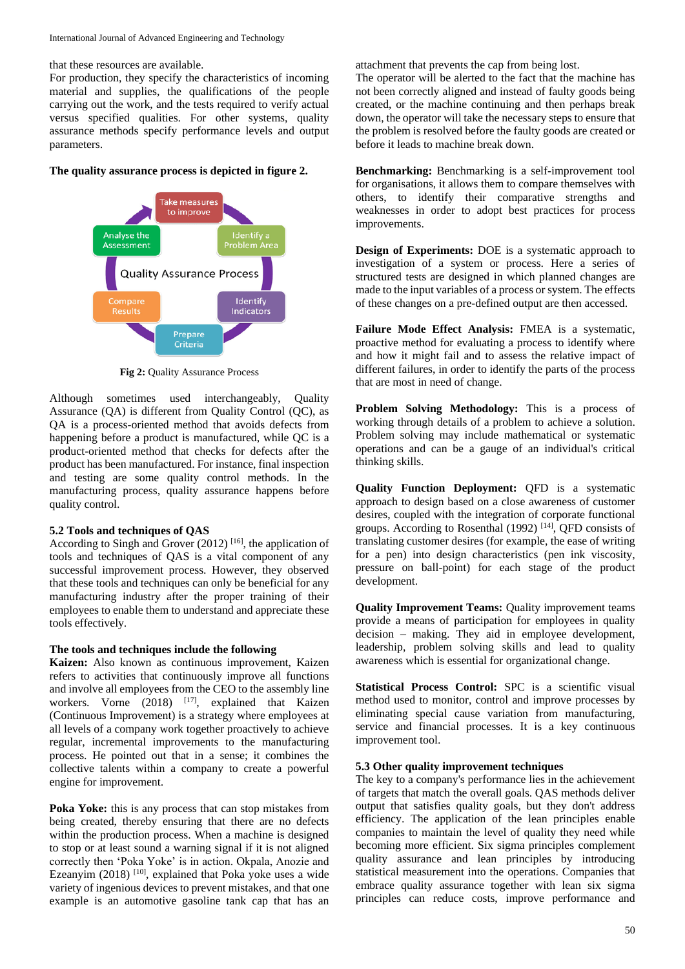that these resources are available.

For production, they specify the characteristics of incoming material and supplies, the qualifications of the people carrying out the work, and the tests required to verify actual versus specified qualities. For other systems, quality assurance methods specify performance levels and output parameters.

**The quality assurance process is depicted in figure 2.** 



**Fig 2:** Quality Assurance Process

Although sometimes used interchangeably, Quality Assurance (QA) is different from Quality Control (QC), as QA is a process-oriented method that avoids defects from happening before a product is manufactured, while QC is a product-oriented method that checks for defects after the product has been manufactured. For instance, final inspection and testing are some quality control methods. In the manufacturing process, quality assurance happens before quality control.

#### **5.2 Tools and techniques of QAS**

According to Singh and Grover  $(2012)$ <sup>[16]</sup>, the application of tools and techniques of QAS is a vital component of any successful improvement process. However, they observed that these tools and techniques can only be beneficial for any manufacturing industry after the proper training of their employees to enable them to understand and appreciate these tools effectively.

#### **The tools and techniques include the following**

**Kaizen:** Also known as continuous improvement, Kaizen refers to activities that continuously improve all functions and involve all employees from the CEO to the assembly line workers. Vorne  $(2018)$  <sup>[17]</sup>, explained that Kaizen (Continuous Improvement) is a strategy where employees at all levels of a company work together proactively to achieve regular, incremental improvements to the manufacturing process. He pointed out that in a sense; it combines the collective talents within a company to create a powerful engine for improvement.

**Poka Yoke:** this is any process that can stop mistakes from being created, thereby ensuring that there are no defects within the production process. When a machine is designed to stop or at least sound a warning signal if it is not aligned correctly then 'Poka Yoke' is in action. Okpala, Anozie and Ezeanyim  $(2018)$ <sup>[10]</sup>, explained that Poka yoke uses a wide variety of ingenious devices to prevent mistakes, and that one example is an automotive gasoline tank cap that has an attachment that prevents the cap from being lost.

The operator will be alerted to the fact that the machine has not been correctly aligned and instead of faulty goods being created, or the machine continuing and then perhaps break down, the operator will take the necessary steps to ensure that the problem is resolved before the faulty goods are created or before it leads to machine break down.

**Benchmarking:** Benchmarking is a self-improvement tool for organisations, it allows them to compare themselves with others, to identify their comparative strengths and weaknesses in order to adopt best practices for process improvements.

**Design of Experiments:** DOE is a systematic approach to investigation of a system or process. Here a series of structured tests are designed in which planned changes are made to the input variables of a process or system. The effects of these changes on a pre-defined output are then accessed.

**Failure Mode Effect Analysis:** FMEA is a systematic, proactive method for evaluating a process to identify where and how it might fail and to assess the relative impact of different failures, in order to identify the parts of the process that are most in need of change.

**Problem Solving Methodology:** This is a process of working through details of a problem to achieve a solution. Problem solving may include mathematical or systematic operations and can be a gauge of an individual's critical thinking skills.

**Quality Function Deployment:** QFD is a systematic approach to design based on a close awareness of customer desires, coupled with the integration of corporate functional groups. According to Rosenthal (1992)<sup>[14]</sup>, QFD consists of translating customer desires (for example, the ease of writing for a pen) into design characteristics (pen ink viscosity, pressure on ball-point) for each stage of the product development.

**Quality Improvement Teams:** Quality improvement teams provide a means of participation for employees in quality decision – making. They aid in employee development, leadership, problem solving skills and lead to quality awareness which is essential for organizational change.

**Statistical Process Control:** SPC is a scientific visual method used to monitor, control and improve processes by eliminating special cause variation from manufacturing, service and financial processes. It is a key continuous improvement tool.

# **5.3 Other quality improvement techniques**

The key to a company's performance lies in the achievement of targets that match the overall goals. QAS methods deliver output that satisfies quality goals, but they don't address efficiency. The application of the lean principles enable companies to maintain the level of quality they need while becoming more efficient. Six sigma principles complement quality assurance and lean principles by introducing statistical measurement into the operations. Companies that embrace quality assurance together with lean six sigma principles can reduce costs, improve performance and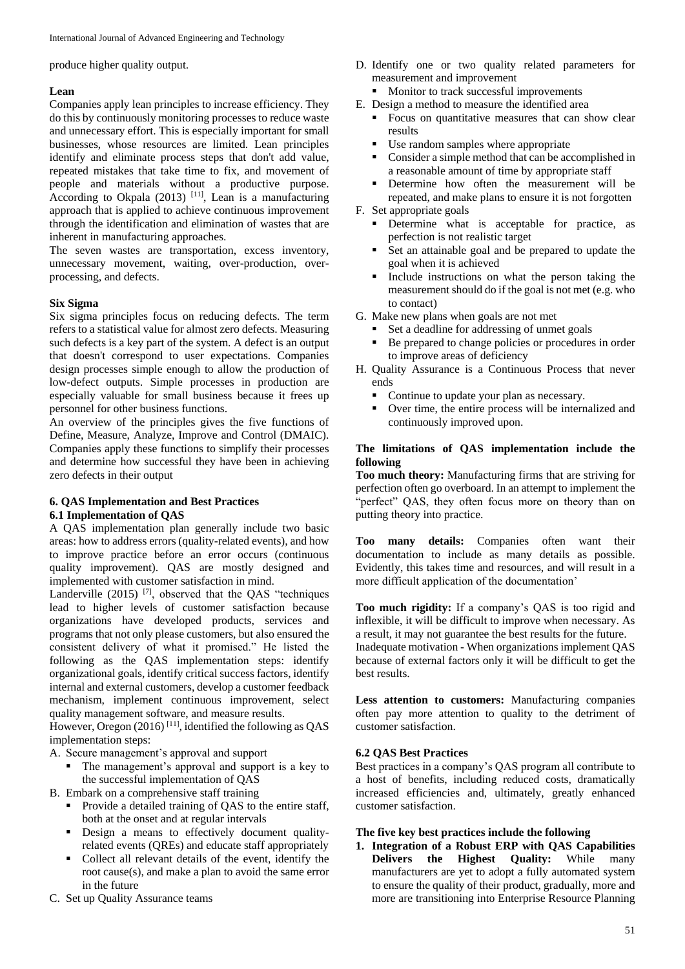produce higher quality output.

### **Lean**

Companies apply lean principles to increase efficiency. They do this by continuously monitoring processes to reduce waste and unnecessary effort. This is especially important for small businesses, whose resources are limited. Lean principles identify and eliminate process steps that don't add value, repeated mistakes that take time to fix, and movement of people and materials without a productive purpose. According to Okpala  $(2013)$ <sup>[11]</sup>, Lean is a manufacturing approach that is applied to achieve continuous improvement through the identification and elimination of wastes that are inherent in manufacturing approaches.

The seven wastes are transportation, excess inventory, unnecessary movement, waiting, over-production, overprocessing, and defects.

#### **Six Sigma**

Six sigma principles focus on reducing defects. The term refers to a statistical value for almost zero defects. Measuring such defects is a key part of the system. A defect is an output that doesn't correspond to user expectations. Companies design processes simple enough to allow the production of low-defect outputs. Simple processes in production are especially valuable for small business because it frees up personnel for other business functions.

An overview of the principles gives the five functions of Define, Measure, Analyze, Improve and Control (DMAIC). Companies apply these functions to simplify their processes and determine how successful they have been in achieving zero defects in their output

#### **6. QAS Implementation and Best Practices 6.1 Implementation of QAS**

A QAS implementation plan generally include two basic areas: how to address errors (quality-related events), and how to improve practice before an error occurs (continuous quality improvement). QAS are mostly designed and implemented with customer satisfaction in mind.

Landerville (2015)<sup>[7]</sup>, observed that the QAS "techniques lead to higher levels of customer satisfaction because organizations have developed products, services and programs that not only please customers, but also ensured the consistent delivery of what it promised." He listed the following as the QAS implementation steps: identify organizational goals, identify critical success factors, identify internal and external customers, develop a customer feedback mechanism, implement continuous improvement, select quality management software, and measure results.

However, Oregon  $(2016)$ <sup>[11]</sup>, identified the following as QAS implementation steps:

A. Secure management's approval and support

• The management's approval and support is a key to the successful implementation of QAS

B. Embark on a comprehensive staff training

- Provide a detailed training of QAS to the entire staff, both at the onset and at regular intervals
- **•** Design a means to effectively document qualityrelated events (QREs) and educate staff appropriately
- Collect all relevant details of the event, identify the root cause(s), and make a plan to avoid the same error in the future
- C. Set up Quality Assurance teams
- D. Identify one or two quality related parameters for measurement and improvement
	- Monitor to track successful improvements
- E. Design a method to measure the identified area
	- Focus on quantitative measures that can show clear results
	- Use random samples where appropriate
	- Consider a simple method that can be accomplished in a reasonable amount of time by appropriate staff
	- Determine how often the measurement will be repeated, and make plans to ensure it is not forgotten
- F. Set appropriate goals
	- Determine what is acceptable for practice, as perfection is not realistic target
	- Set an attainable goal and be prepared to update the goal when it is achieved
	- Include instructions on what the person taking the measurement should do if the goal is not met (e.g. who to contact)
- G. Make new plans when goals are not met
	- Set a deadline for addressing of unmet goals
	- Be prepared to change policies or procedures in order to improve areas of deficiency
- H. Quality Assurance is a Continuous Process that never ends
	- Continue to update your plan as necessary.
	- Over time, the entire process will be internalized and continuously improved upon.

#### **The limitations of QAS implementation include the following**

**Too much theory:** Manufacturing firms that are striving for perfection often go overboard. In an attempt to implement the "perfect" QAS, they often focus more on theory than on putting theory into practice.

**Too many details:** Companies often want their documentation to include as many details as possible. Evidently, this takes time and resources, and will result in a more difficult application of the documentation'

**Too much rigidity:** If a company's QAS is too rigid and inflexible, it will be difficult to improve when necessary. As a result, it may not guarantee the best results for the future. Inadequate motivation - When organizations implement QAS because of external factors only it will be difficult to get the best results.

**Less attention to customers:** Manufacturing companies often pay more attention to quality to the detriment of customer satisfaction.

#### **6.2 QAS Best Practices**

Best practices in a company's QAS program all contribute to a host of benefits, including reduced costs, dramatically increased efficiencies and, ultimately, greatly enhanced customer satisfaction.

#### **The five key best practices include the following**

**1. Integration of a Robust ERP with QAS Capabilities Delivers the Highest Quality:** While many manufacturers are yet to adopt a fully automated system to ensure the quality of their product, gradually, more and more are transitioning into Enterprise Resource Planning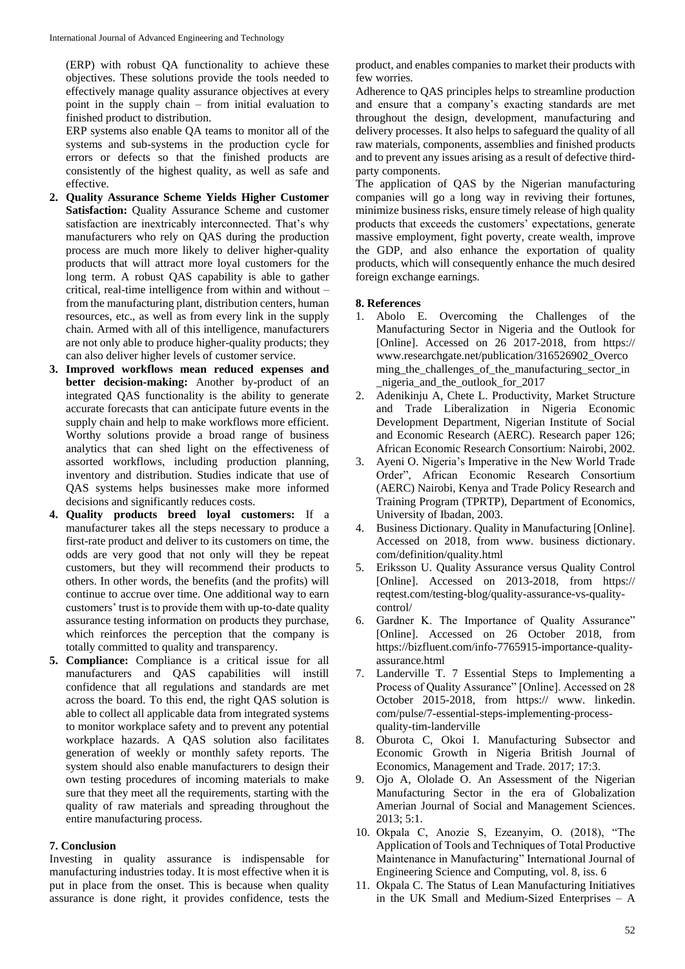(ERP) with robust QA functionality to achieve these objectives. These solutions provide the tools needed to effectively manage quality assurance objectives at every point in the supply chain – from initial evaluation to finished product to distribution.

ERP systems also enable QA teams to monitor all of the systems and sub-systems in the production cycle for errors or defects so that the finished products are consistently of the highest quality, as well as safe and effective.

- **2. Quality Assurance Scheme Yields Higher Customer Satisfaction:** Quality Assurance Scheme and customer satisfaction are inextricably interconnected. That's why manufacturers who rely on QAS during the production process are much more likely to deliver higher-quality products that will attract more loyal customers for the long term. A robust QAS capability is able to gather critical, real-time intelligence from within and without – from the manufacturing plant, distribution centers, human resources, etc., as well as from every link in the supply chain. Armed with all of this intelligence, manufacturers are not only able to produce higher-quality products; they can also deliver higher levels of customer service.
- **3. Improved workflows mean reduced expenses and better decision-making:** Another by-product of an integrated QAS functionality is the ability to generate accurate forecasts that can anticipate future events in the supply chain and help to make workflows more efficient. Worthy solutions provide a broad range of business analytics that can shed light on the effectiveness of assorted workflows, including production planning, inventory and distribution. Studies indicate that use of QAS systems helps businesses make more informed decisions and significantly reduces costs.
- **4. Quality products breed loyal customers:** If a manufacturer takes all the steps necessary to produce a first-rate product and deliver to its customers on time, the odds are very good that not only will they be repeat customers, but they will recommend their products to others. In other words, the benefits (and the profits) will continue to accrue over time. One additional way to earn customers' trust is to provide them with up-to-date quality assurance testing information on products they purchase, which reinforces the perception that the company is totally committed to quality and transparency.
- **5. Compliance:** Compliance is a critical issue for all manufacturers and QAS capabilities will instill confidence that all regulations and standards are met across the board. To this end, the right QAS solution is able to collect all applicable data from integrated systems to monitor workplace safety and to prevent any potential workplace hazards. A QAS solution also facilitates generation of weekly or monthly safety reports. The system should also enable manufacturers to design their own testing procedures of incoming materials to make sure that they meet all the requirements, starting with the quality of raw materials and spreading throughout the entire manufacturing process.

### **7. Conclusion**

Investing in quality assurance is indispensable for manufacturing industries today. It is most effective when it is put in place from the onset. This is because when quality assurance is done right, it provides confidence, tests the product, and enables companies to market their products with few worries.

Adherence to QAS principles helps to streamline production and ensure that a company's exacting standards are met throughout the design, development, manufacturing and delivery processes. It also helps to safeguard the quality of all raw materials, components, assemblies and finished products and to prevent any issues arising as a result of defective thirdparty components.

The application of QAS by the Nigerian manufacturing companies will go a long way in reviving their fortunes, minimize business risks, ensure timely release of high quality products that exceeds the customers' expectations, generate massive employment, fight poverty, create wealth, improve the GDP, and also enhance the exportation of quality products, which will consequently enhance the much desired foreign exchange earnings.

#### **8. References**

- 1. Abolo E. Overcoming the Challenges of the Manufacturing Sector in Nigeria and the Outlook for [Online]. Accessed on 26 2017-2018, from https:// www.researchgate.net/publication/316526902\_Overco ming the challenges of the manufacturing sector in \_nigeria\_and\_the\_outlook\_for\_2017
- 2. Adenikinju A, Chete L. Productivity, Market Structure and Trade Liberalization in Nigeria Economic Development Department, Nigerian Institute of Social and Economic Research (AERC). Research paper 126; African Economic Research Consortium: Nairobi, 2002.
- 3. Ayeni O. Nigeria's Imperative in the New World Trade Order", African Economic Research Consortium (AERC) Nairobi, Kenya and Trade Policy Research and Training Program (TPRTP), Department of Economics, University of Ibadan, 2003.
- 4. Business Dictionary. Quality in Manufacturing [Online]. Accessed on 2018, from www. business dictionary. com/definition/quality.html
- 5. Eriksson U. Quality Assurance versus Quality Control [Online]. Accessed on 2013-2018, from https:// reqtest.com/testing-blog/quality-assurance-vs-qualitycontrol/
- 6. Gardner K. The Importance of Quality Assurance" [Online]. Accessed on 26 October 2018, from https://bizfluent.com/info-7765915-importance-qualityassurance.html
- 7. Landerville T. 7 Essential Steps to Implementing a Process of Quality Assurance" [Online]. Accessed on 28 October 2015-2018, from https:// www. linkedin. com/pulse/7-essential-steps-implementing-processquality-tim-landerville
- 8. Oburota C, Okoi I. Manufacturing Subsector and Economic Growth in Nigeria British Journal of Economics, Management and Trade. 2017; 17:3.
- 9. Ojo A, Ololade O. An Assessment of the Nigerian Manufacturing Sector in the era of Globalization Amerian Journal of Social and Management Sciences. 2013; 5:1.
- 10. Okpala C, Anozie S, Ezeanyim, O. (2018), "The Application of Tools and Techniques of Total Productive Maintenance in Manufacturing" International Journal of Engineering Science and Computing, vol. 8, iss. 6
- 11. Okpala C. The Status of Lean Manufacturing Initiatives in the UK Small and Medium-Sized Enterprises – A